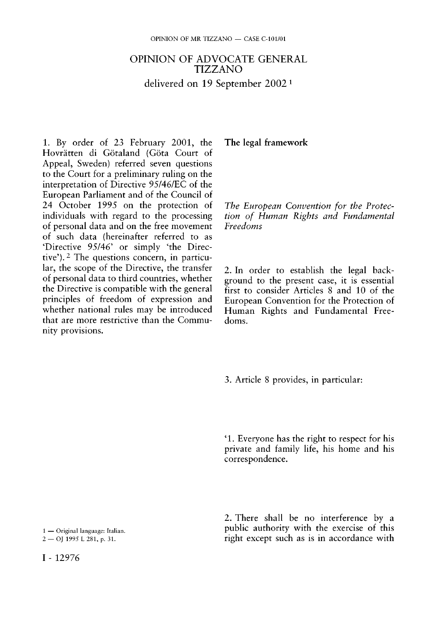## OPINION OF ADVOCATE GENERAL TIZZANO delivered on 19 September 2002 1

1. By order of 23 February 2001, the Hovrätten di Götaland (Göta Court of Appeal, Sweden) referred seven questions to the Court for a preliminary ruling on the interpretation of Directive 95/46/EC of the European Parliament and of the Council of 24 October 1995 on the protection of individuals with regard to the processing of personal data and on the free movement of such data (hereinafter referred to as 'Directive 95/46' or simply 'the Directive'). <sup>2</sup> The questions concern, in particular, the scope of the Directive, the transfer of personal data to third countries, whether the Directive is compatible with the general principles of freedom of expression and whether national rules may be introduced that are more restrictive than the Community provisions.

**The legal framework** 

*The European Convention for the Protection of Human Rights and Fundamental Freedoms* 

2. In order to establish the legal background to the present case, it is essential first to consider Articles 8 and 10 of the European Convention for the Protection of Human Rights and Fundamental Freedoms.

3. Article 8 provides, in particular:

' 1 . Everyone has the right to respect for his private and family life, his home and his correspondence.

2. There shall be no interference by a public authority with the exercise of this right except such as is in accordance with

<sup>1 —</sup> Original language: Italian. 2 — OJ 1995 L 281, p. 31.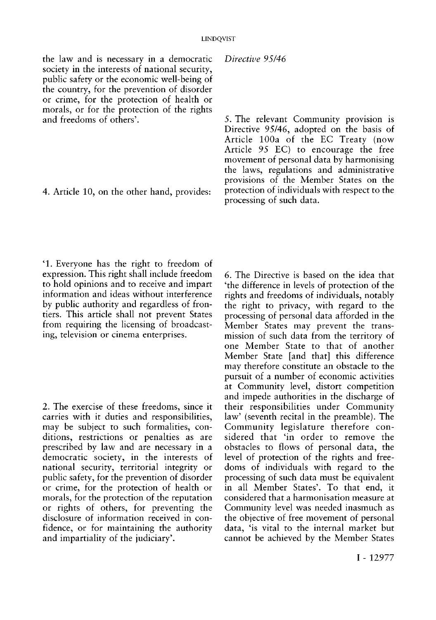the law and is necessary in a democratic society in the interests of national security, public safety or the economic well-being of the country, for the prevention of disorder or crime, for the protection of health or morals, or for the protection of the rights and freedoms of others'.

4. Article 10, on the other hand, provides:

*Directive 95/46* 

5. The relevant Community provision is Directive 95/46, adopted on the basis of Article 100a of the EC Treaty (now Article 95 EC) to encourage the free movement of personal data by harmonising the laws, regulations and administrative provisions of the Member States on the protection of individuals with respect to the processing of such data.

'1. Everyone has the right to freedom of expression. This right shall include freedom to hold opinions and to receive and impart information and ideas without interference by public authority and regardless of frontiers. This article shall not prevent States from requiring the licensing of broadcasting, television or cinema enterprises.

2. The exercise of these freedoms, since it carries with it duties and responsibilities, may be subject to such formalities, conditions, restrictions or penalties as are prescribed by law and are necessary in a democratic society, in the interests of national security, territorial integrity or public safety, for the prevention of disorder or crime, for the protection of health or morals, for the protection of the reputation or rights of others, for preventing the disclosure of information received in confidence, or for maintaining the authority and impartiality of the judiciary'.

6. The Directive is based on the idea that 'the difference in levels of protection of the rights and freedoms of individuals, notably the right to privacy, with regard to the processing of personal data afforded in the Member States may prevent the transmission of such data from the territory of one Member State to that of another Member State [and that] this difference may therefore constitute an obstacle to the pursuit of a number of economic activities at Community level, distort competition and impede authorities in the discharge of their responsibilities under Community law' (seventh recital in the preamble). The Community legislature therefore considered that 'in order to remove the obstacles to flows of personal data, the level of protection of the rights and freedoms of individuals with regard to the processing of such data must be equivalent in all Member States'. To that end, it considered that a harmonisation measure at Community level was needed inasmuch as the objective of free movement of personal data, 'is vital to the internal market but cannot be achieved by the Member States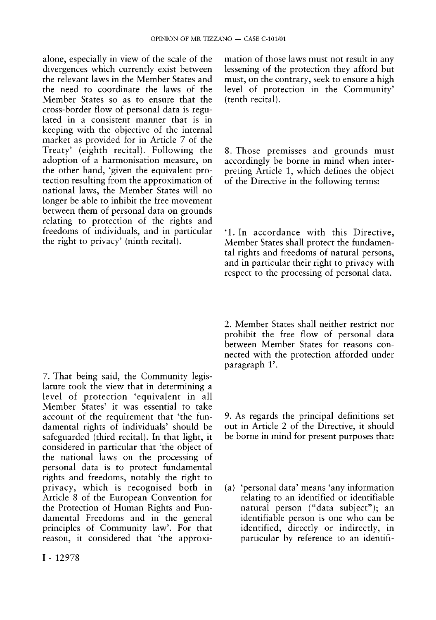alone, especially in view of the scale of the divergences which currently exist between the relevant laws in the Member States and the need to coordinate the laws of the Member States so as to ensure that the cross-border flow of personal data is regulated in a consistent manner that is in keeping with the objective of the internal market as provided for in Article 7 of the Treaty' (eighth recital). Following the adoption of a harmonisation measure, on the other hand, 'given the equivalent protection resulting from the approximation of national laws, the Member States will no longer be able to inhibit the free movement between them of personal data on grounds relating to protection of the rights and freedoms of individuals, and in particular the right to privacy' (ninth recital).

7. That being said, the Community legislature took the view that in determining a level of protection 'equivalent in all Member States' it was essential to take account of the requirement that 'the fundamental rights of individuals' should be safeguarded (third recital). In that light, it considered in particular that 'the object of the national laws on the processing of personal data is to protect fundamental rights and freedoms, notably the right to privacy, which is recognised both in Article 8 of the European Convention for the Protection of Human Rights and Fundamental Freedoms and in the general principles of Community law'. For that reason, it considered that 'the approximation of those laws must not result in any lessening of the protection they afford but must, on the contrary, seek to ensure a high level of protection in the Community' (tenth recital).

8. Those premisses and grounds must accordingly be borne in mind when interpreting Article 1, which defines the object of the Directive in the following terms:

'1. In accordance with this Directive, Member States shall protect the fundamental rights and freedoms of natural persons, and in particular their right to privacy with respect to the processing of personal data.

2. Member States shall neither restrict nor prohibit the free flow of personal data between Member States for reasons connected with the protection afforded under paragraph 1'.

9. As regards the principal definitions set out in Article 2 of the Directive, it should be borne in mind for present purposes that:

(a) 'personal data' means 'any information relating to an identified or identifiable natural person ("data subject"); an identifiable person is one who can be identified, directly or indirectly, in particular by reference to an identifi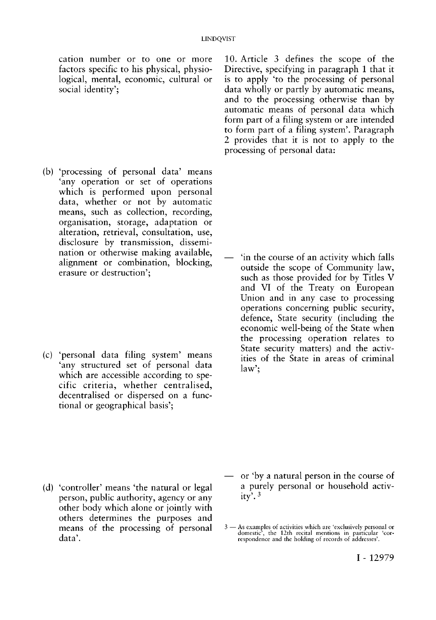cation number or to one or more factors specific to his physical, physiological, mental, economic, cultural or social identity';

(b) 'processing of personal data' means 'any operation or set of operations which is performed upon personal data, whether or not by automatic means, such as collection, recording, organisation, storage, adaptation or alteration, retrieval, consultation, use, disclosure by transmission, dissemination or otherwise making available, alignment or combination, blocking, erasure or destruction';

(c) 'personal data filing system' means 'any structured set of personal data which are accessible according to specific criteria, whether centralised, decentralised or dispersed on a functional or geographical basis';

10. Article 3 defines the scope of the Directive, specifying in paragraph 1 that it is to apply 'to the processing of personal data wholly or partly by automatic means, and to the processing otherwise than by automatic means of personal data which form part of a filing system or are intended to form part of a filing system'. Paragraph 2 provides that it is not to apply to the processing of personal data:

— 'in the course of an activity which falls outside the scope of Community law, such as those provided for by Titles V and VI of the Treaty on European Union and in any case to processing operations concerning public security, defence, State security (including the economic well-being of the State when the processing operation relates to State security matters) and the activities of the State in areas of criminal law';

- (d) 'controller' means 'the natural or legal person, public authority, agency or any other body which alone or jointly with others determines the purposes and means of the processing of personal data'.
- or 'by a natural person in the course of a purely personal or household activity'. 3

<sup>3 —</sup> As examples of activities which are 'exclusively personal or domestic', the 12th recital mentions in particular 'cor-respondence and the holding of records of addresses'.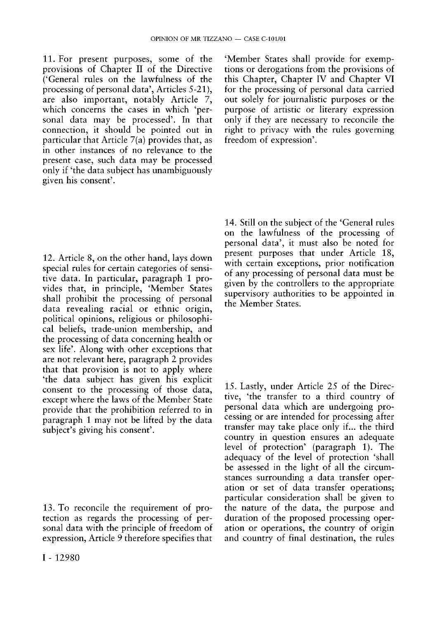11. For present purposes, some of the provisions of Chapter II of the Directive ('General rules on the lawfulness of the processing of personal data', Articles 5-21), are also important, notably Article 7, which concerns the cases in which 'personal data may be processed'. In that connection, it should be pointed out in particular that Article 7(a) provides that, as in other instances of no relevance to the present case, such data may be processed only if 'the data subject has unambiguously given his consent'.

12. Article 8, on the other hand, lays down special rules for certain categories of sensitive data. In particular, paragraph 1 provides that, in principle, 'Member States shall prohibit the processing of personal data revealing racial or ethnic origin, political opinions, religious or philosophical beliefs, trade-union membership, and the processing of data concerning health or sex life'. Along with other exceptions that are not relevant here, paragraph 2 provides that that provision is not to apply where 'the data subject has given his explicit consent to the processing of those data, except where the laws of the Member State provide that the prohibition referred to in paragraph 1 may not be lifted by the data subject's giving his consent'.

13. To reconcile the requirement of protection as regards the processing of personal data with the principle of freedom of expression, Article 9 therefore specifies that

'Member States shall provide for exemptions or derogations from the provisions of this Chapter, Chapter IV and Chapter VI for the processing of personal data carried out solely for journalistic purposes or the purpose of artistic or literary expression only if they are necessary to reconcile the right to privacy with the rules governing freedom of expression'.

14. Still on the subject of the 'General rules on the lawfulness of the processing of personal data', it must also be noted for present purposes that under Article 18, with certain exceptions, prior notification of any processing of personal data must be given by the controllers to the appropriate supervisory authorities to be appointed in the Member States.

15. Lastly, under Article 25 of the Directive, 'the transfer to a third country of personal data which are undergoing processing or are intended for processing after transfer may take place only if... the third country in question ensures an adequate level of protection' (paragraph 1). The adequacy of the level of protection 'shall be assessed in the light of all the circumstances surrounding a data transfer operation or set of data transfer operations; particular consideration shall be given to the nature of the data, the purpose and duration of the proposed processing operation or operations, the country of origin and country of final destination, the rules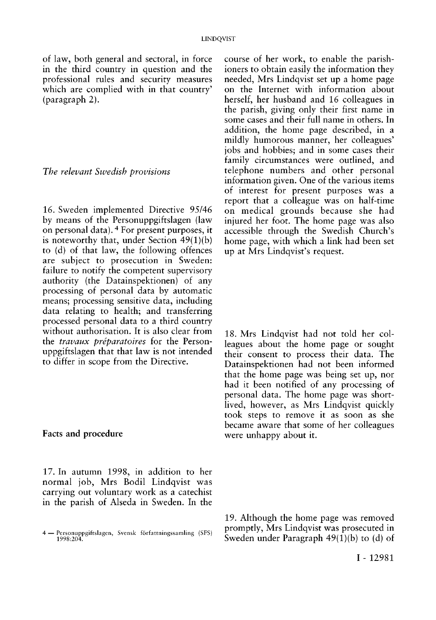of law, both general and sectoral, in force in the third country in question and the professional rules and security measures which are complied with in that country' (paragraph 2).

#### *The relevant Swedish provisions*

16. Sweden implemented Directive 95/46 by means of the Personuppgiftslagen (law on personal data). 4 For present purposes, it is noteworthy that, under Section 49(1)(b) to (d) of that law, the following offences are subject to prosecution in Sweden: failure to notify the competent supervisory authority (the Datainspektionen) of any processing of personal data by automatic means; processing sensitive data, including data relating to health; and transferring processed personal data to a third country without authorisation. It is also clear from the *travaux préparatoires* for the Personuppgiftslagen that that law is not intended to differ in scope from the Directive.

### **Facts and procedure**

17. **In** autumn 1998, in addition to her normal job, Mrs Bodil Lindqvist was carrying out voluntary work as a catechist in the parish of Alseda in Sweden. In the

course of her work, to enable the parishioners to obtain easily the information they needed, Mrs Lindqvist set up a home page on the Internet with information about herself, her husband and 16 colleagues in the parish, giving only their first name in some cases and their full name in others. In addition, the home page described, in a mildly humorous manner, her colleagues' jobs and hobbies; and in some cases their family circumstances were outlined, and telephone numbers and other personal information given. One of the various items of interest for present purposes was a report that a colleague was on half-time on medical grounds because she had injured her foot. The home page was also accessible through the Swedish Church's home page, with which a link had been set up at Mrs Lindqvist's request.

18. Mrs Lindqvist had not told her colleagues about the home page or sought their consent to process their data. The Datainspektionen had not been informed that the home page was being set up, nor had it been notified of any processing of personal data. The home page was shortlived, however, as Mrs Lindqvist quickly took steps to remove it as soon as she became aware that some of her colleagues were unhappy about it.

19. Although the home page was removed promptly, Mrs Lindqvist was prosecuted in Sweden under Paragraph  $49(1)(b)$  to (d) of

<sup>4 —</sup> Personuppgiftslagen, Svensk författningssamling (SFS) 1998:204.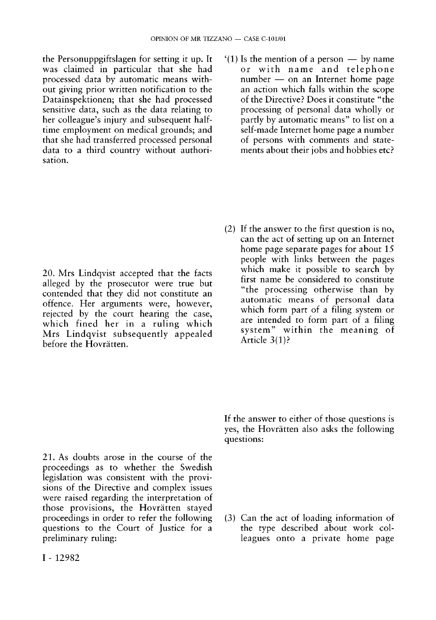the Personuppgiftslagen for setting it up. It was claimed in particular that she had processed data by automatic means without giving prior written notification to the Datainspektionen; that she had processed sensitive data, such as the data relating to her colleague's injury and subsequent halftime employment on medical grounds; and that she had transferred processed personal data to a third country without authorisation.

'(1) Is the mention of a person — by name or with name and telephone number — on an Internet home page an action which falls within the scope of the Directive? Does it constitute "the processing of personal data wholly or partly by automatic means" to list on a self-made Internet home page a number of persons with comments and statements about their jobs and hobbies etc?

20. Mrs Lindqvist accepted that the facts alleged by the prosecutor were true but contended that they did not constitute an offence. Her arguments were, however, rejected by the court hearing the case, which fined her in a ruling which Mrs Lindqvist subsequently appealed before the Hovrätten.

(2) If the answer to the first question is no, can the act of setting up on an Internet home page separate pages for about 15 people with links between the pages which make it possible to search by first name be considered to constitute "the processing otherwise than by automatic means of personal data which form part of a filing system or are intended to form part of a filing system" within the meaning of Article 3(1)?

21. As doubts arose in the course of the proceedings as to whether the Swedish legislation was consistent with the provisions of the Directive and complex issues were raised regarding the interpretation of those provisions, the Hovrätten stayed proceedings in order to refer the following questions to the Court of Justice for a preliminary ruling:

If the answer to either of those questions is yes, the Hovrätten also asks the following questions:

(3) Can the act of loading information of the type described about work colleagues onto a private home page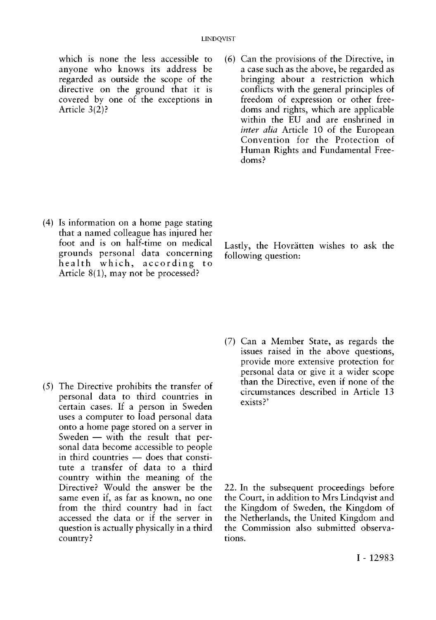which is none the less accessible to anyone who knows its address be regarded as outside the scope of the directive on the ground that it is covered by one of the exceptions in Article 3(2)?

- (6) Can the provisions of the Directive, in a case such as the above, be regarded as bringing about a restriction which conflicts with the general principles of freedom of expression or other freedoms and rights, which are applicable within the EU and are enshrined in *inter alia* Article 10 of the European Convention for the Protection of Human Rights and Fundamental Freedoms?
- (4) Is information on a home page stating that a named colleague has injured her foot and is on half-time on medical grounds personal data concerning health which, according to Article 8(1), may not be processed?

Lastly, the Hovrätten wishes to ask the following question:

- (5) The Directive prohibits the transfer of personal data to third countries in certain cases. If a person in Sweden uses a computer to load personal data onto a home page stored on a server in Sweden — with the result that personal data become accessible to people in third countries — does that constitute a transfer of data to a third country within the meaning of the Directive? Would the answer be the same even if, as far as known, no one from the third country had in fact accessed the data or if the server in question is actually physically in a third country?
- (7) Can a Member State, as regards the issues raised in the above questions, provide more extensive protection for personal data or give it a wider scope than the Directive, even if none of the circumstances described in Article 13 exists?'

22. In the subsequent proceedings before the Court, in addition to Mrs Lindqvist and the Kingdom of Sweden, the Kingdom of the Netherlands, the United Kingdom and the Commission also submitted observations.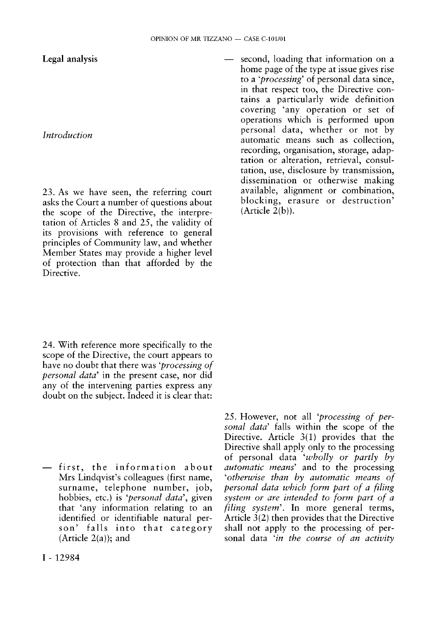**Legal analysis** 

## *Introduction*

23. As we have seen, the referring court asks the Court a number of questions about the scope of the Directive, the interpretation of Articles 8 and 25, the validity of its provisions with reference to general principles of Community law, and whether Member States may provide a higher level of protection than that afforded by the Directive.

24. With reference more specifically to the scope of the Directive, the court appears to have no doubt that there was *'processing of personal data'* in the present case, nor did any of the intervening parties express any doubt on the subject. Indeed it is clear that:

 $-$  first, the information about Mrs Lindqvist's colleagues (first name, surname, telephone number, job, hobbies, etc.) is *'personal data',* given that 'any information relating to an identified or identifiable natural person' falls into that category (Article  $2(a)$ ); and

— second, loading that information on a home page of the type at issue gives rise to a *'processing'* of personal data since, in that respect too, the Directive contains a particularly wide definition covering 'any operation or set of operations which is performed upon personal data, whether or not by automatic means such as collection, recording, organisation, storage, adaptation or alteration, retrieval, consultation, use, disclosure by transmission, dissemination or otherwise making available, alignment or combination, blocking, erasure or destruction'  $(A<sup>r</sup>$ icle  $2(b)$ ).

25. However, not all *'processing of personal data'* falls within the scope of the Directive. Article 3(1) provides that the Directive shall apply only to the processing of personal data *'wholly or partly by automatic means'* and to the processing *'otherwise than by automatic means of personal data which form part of a filing system or are intended to form part of a filing system'.* In more general terms, Article 3(2) then provides that the Directive shall not apply to the processing of personal data *'in the course of an activity*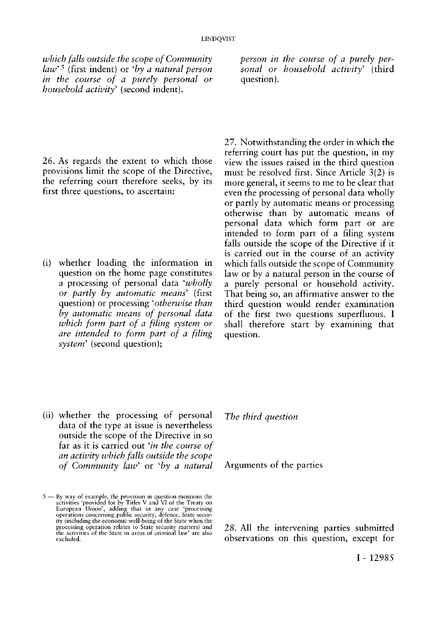*which falls outside the scope of Community law' 5* (first indent) or *'by a natural person in the course of a purely personal or household activity'* (second indent).

26. As regards the extent to which those provisions limit the scope of the Directive, the referring court therefore seeks, by its first three questions, to ascertain:

(i) whether loading the information in question on the home page constitutes a processing of personal data *'wholly or partly by automatic means'* (first question) or processing 'otherwise than *by automatic means of personal data which form part of a filing system or are intended to form part of a filing system'* (second question);

*person in the course of a purely personal or household activity'* (third question).

27. Notwithstanding the order in which the referring court has put the question, in my view the issues raised in the third question must be resolved first. Since Article 3(2) is more general, it seems to me to be clear that even the processing of personal data wholly or partly by automatic means or processing otherwise than by automatic means of personal data which form part or are intended to form part of a filing system falls outside the scope of the Directive if it is carried out in the course of an activity which falls outside the scope of Community law or by a natural person in the course of a purely personal or household activity. That being so, an affirmative answer to the third question would render examination of the first two questions superfluous. I shall therefore start by examining that question.

(ii) whether the processing of personal data of the type at issue is nevertheless outside the scope of the Directive in so far as it is carried out *'in the course of an activity which falls outside the scope of Community law'* or *'by a natural*  *The third question* 

Arguments of the parties

28. All the intervening parties submitted observations on this question, except for

 $5 - By$  way of example, the provision in question mentions the activities 'provided for by Titles V and VI of the Treaty on European Union', adding that in any case 'processing operations concerning public security, defence ity (including the economic well-being of the State when the processing operation relates to State security matters) and the activities of the State in areas of criminal law' are also excluded.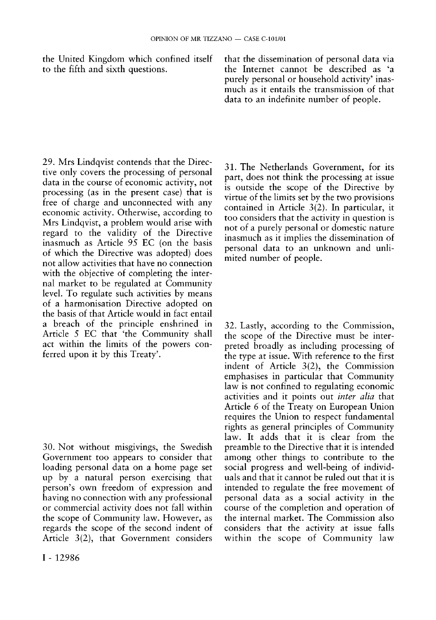the United Kingdom which confined itself to the fifth and sixth questions.

29. Mrs Lindqvist contends that the Directive only covers the processing of personal data in the course of economic activity, not processing (as in the present case) that is free of charge and unconnected with any economic activity. Otherwise, according to Mrs Lindqvist, a problem would arise with regard to the validity of the Directive inasmuch as Article 95 EC (on the basis of which the Directive was adopted) does not allow activities that have no connection with the objective of completing the internal market to be regulated at Community level. To regulate such activities by means of a harmonisation Directive adopted on the basis of that Article would in fact entail a breach of the principle enshrined in Article 5 EC that 'the Community shall act within the limits of the powers conferred upon it by this Treaty'.

30. Not without misgivings, the Swedish Government too appears to consider that loading personal data on a home page set up by a natural person exercising that person's own freedom of expression and having no connection with any professional or commercial activity does not fall within the scope of Community law. However, as regards the scope of the second indent of Article 3(2), that Government considers

31. The Netherlands Government, for its part, does not think the processing at issue is outside the scope of the Directive by virtue of the limits set by the two provisions contained in Article 3(2). In particular, it too considers that the activity in question is not of a purely personal or domestic nature inasmuch as it implies the dissemination of personal data to an unknown and unlimited number of people.

that the dissemination of personal data via the Internet cannot be described as 'a purely personal or household activity' inasmuch as it entails the transmission of that data to an indefinite number of people.

32. Lastly, according to the Commission, the scope of the Directive must be interpreted broadly as including processing of the type at issue. With reference to the first indent of Article 3(2), the Commission emphasises in particular that Community law is not confined to regulating economic activities and it points out *inter alia* that Article 6 of the Treaty on European Union requires the Union to respect fundamental rights as general principles of Community law. It adds that it is clear from the preamble to the Directive that it is intended among other things to contribute to the social progress and well-being of individuals and that it cannot be ruled out that it is intended to regulate the free movement of personal data as a social activity in the course of the completion and operation of the internal market. The Commission also considers that the activity at issue falls within the scope of Community law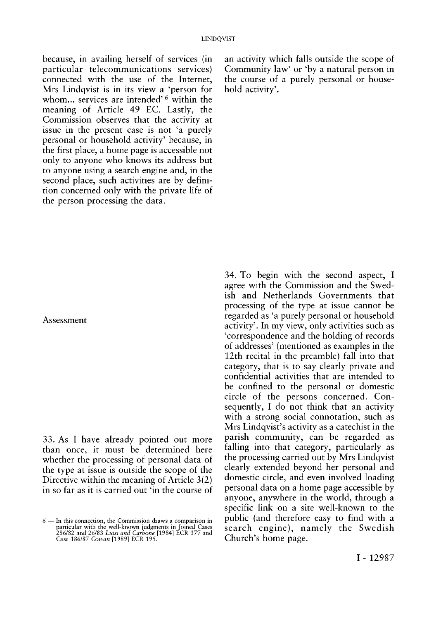because, in availing herself of services (in particular telecommunications services) connected with the use of the Internet, Mrs Lindqvist is in its view a 'person for whom... services are intended'<sup>6</sup> within the meaning of Article 49 EC. Lastly, the Commission observes that the activity at issue in the present case is not 'a purely personal or household activity' because, in the first place, a home page is accessible not only to anyone who knows its address but to anyone using a search engine and, in the second place, such activities are by definition concerned only with the private life of the person processing the data.

an activity which falls outside the scope of Community law' or 'by a natural person in the course of a purely personal or household activity'.

### Assessment

33. As I have already pointed out more than once, it must be determined here whether the processing of personal data of the type at issue is outside the scope of the Directive within the meaning of Article 3(2) in so far as it is carried out 'in the course of

34. To begin with the second aspect, I agree with the Commission and the Swedish and Netherlands Governments that processing of the type at issue cannot be regarded as 'a purely personal or household activity'. In my view, only activities such as 'correspondence and the holding of records of addresses' (mentioned as examples in the 12th recital in the preamble) fall into that category, that is to say clearly private and confidential activities that are intended to be confined to the personal or domestic circle of the persons concerned. Consequently, I do not think that an activity with a strong social connotation, such as Mrs Lindqvist's activity as a catechist in the parish community, can be regarded as falling into that category, particularly as the processing carried out by Mrs Lindqvist clearly extended beyond her personal and domestic circle, and even involved loading personal data on a home page accessible by anyone, anywhere in the world, through a specific link on a site well-known to the public (and therefore easy to find with a search engine), namely the Swedish Church's home page.

<sup>6 —</sup> In this connection, the Commission draws a comparison in particular with the well-known judgments in Joined Cases 286/82 and 26/83 *Luisi and Carbone* [1984] ECR 377 and Case 186/87 *Cowan* [1989] ECR 195.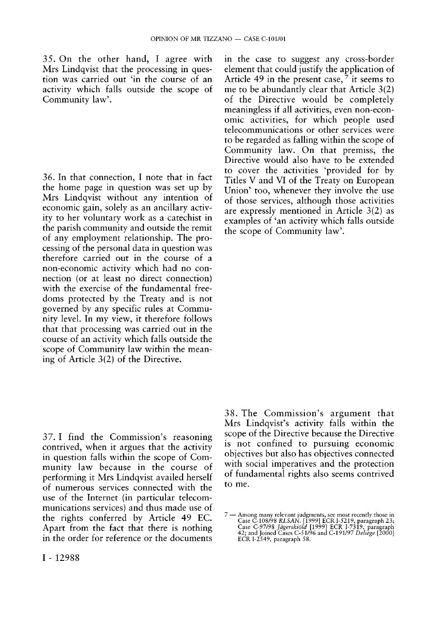35. On the other hand, I agree with Mrs Lindqvist that the processing in question was carried out 'in the course of an activity which falls outside the scope of Community law'.

36. In that connection, I note that in fact the home page in question was set up by Mrs Lindqvist without any intention of economic gain, solely as an ancillary activity to her voluntary work as a catechist in the parish community and outside the remit of any employment relationship. The processing of the personal data in question was therefore carried out in the course of a non-economic activity which had no connection (or at least no direct connection) with the exercise of the fundamental freedoms protected by the Treaty and is not governed by any specific rules at Community level. In my view, it therefore follows that that processing was carried out in the course of an activity which falls outside the scope of Community law within the meaning of Article 3(2) of the Directive.

in the case to suggest any cross-border element that could justify the application of Article 49 in the present case,  $\frac{7}{1}$  it seems to me to be abundantly clear that Article 3(2) of the Directive would be completely meaningless if all activities, even non-economic activities, for which people used telecommunications or other services were to be regarded as falling within the scope of Community law. On that premiss, the Directive would also have to be extended to cover the activities 'provided for by Titles V and VI of the Treaty on European Union' too, whenever they involve the use of those services, although those activities are expressly mentioned in Article 3(2) as examples of 'an activity which falls outside the scope of Community law'.

37. I find the Commission's reasoning contrived, when it argues that the activity in question falls within the scope of Community law because in the course of performing it Mrs Lindqvist availed herself of numerous services connected with the use of the Internet (in particular telecommunications services) and thus made use of the rights conferred by Article 49 EC. Apart from the fact that there is nothing in the order for reference or the documents

38. The Commission's argument that Mrs Lindqvist's activity falls within the scope of the Directive because the Directive is not confined to pursuing economic objectives but also has objectives connected with social imperatives and the protection of fundamental rights also seems contrived to me.

<sup>7 —</sup> Among many relevant judgments, see most recently those in<br>Case C-108/98 RLSAN. [1999] ECR I-5219, paragraph 23;<br>Case C-97/98 *Jägerskiöld* [1999] ECR I-7319, paragraph<br>42; and Joined Cases C-51/96 and C-191/97 *Deliège*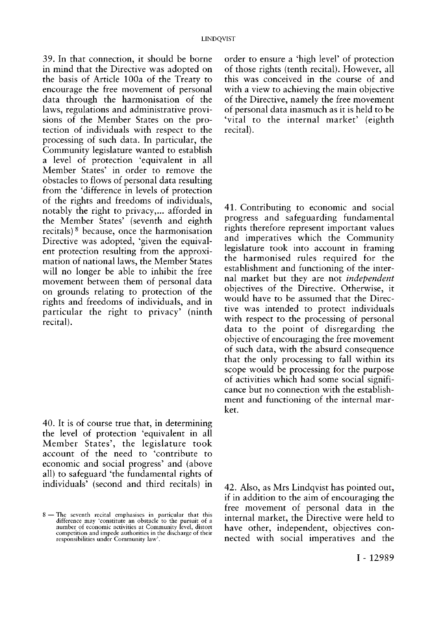39. In that connection, it should be borne in mind that the Directive was adopted on the basis of Article 100a of the Treaty to encourage the free movement of personal data through the harmonisation of the laws, regulations and administrative provisions of the Member States on the protection of individuals with respect to the processing of such data. In particular, the Community legislature wanted to establish a level of protection 'equivalent in all Member States' in order to remove the obstacles to flows of personal data resulting from the 'difference in levels of protection of the rights and freedoms of individuals, notably the right to privacy,... afforded in the Member States' (seventh and eighth recitals) <sup>8</sup> because, once the harmonisation Directive was adopted, 'given the equivalent protection resulting from the approximation of national laws, the Member States will no longer be able to inhibit the free movement between them of personal data on grounds relating to protection of the rights and freedoms of individuals, and in particular the right to privacy' (ninth recital).

40. It is of course true that, in determining the level of protection 'equivalent in all Member States', the legislature took account of the need to 'contribute to economic and social progress' and (above all) to safeguard 'the fundamental rights of individuals' (second and third recitals) in

order to ensure a 'high level' of protection of those rights (tenth recital). However, all this was conceived in the course of and with a view to achieving the main objective of the Directive, namely the free movement of personal data inasmuch as it is held to be 'vital to the internal market' (eighth recital).

41. Contributing to economic and social progress and safeguarding fundamental rights therefore represent important values and imperatives which the Community legislature took into account in framing the harmonised rules required for the establishment and functioning of the internal market but they are not *independent*  objectives of the Directive. Otherwise, it would have to be assumed that the Directive was intended to protect individuals with respect to the processing of personal data to the point of disregarding the objective of encouraging the free movement of such data, with the absurd consequence that the only processing to fall within its scope would be processing for the purpose of activities which had some social significance but no connection with the establishment and functioning of the internal market.

42. Also, as Mrs Lindqvist has pointed out, if in addition to the aim of encouraging the free movement of personal data in the internal market, the Directive were held to have other, independent, objectives connected with social imperatives and the

<sup>8 —</sup> The seventh recital emphasises in particular that this difference may 'constitute an obstacle to the pursuit of a number of economic activities at Community level, distort competition and impede authorities in the discharge of their responsibilities under Community law'.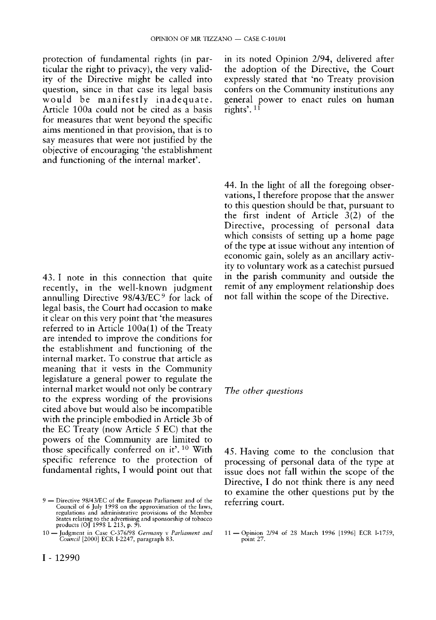protection of fundamental rights (in particular the right to privacy), the very validity of the Directive might be called into question, since in that case its legal basis would be manifestly inadequate. Article 100a could not be cited as a basis for measures that went beyond the specific aims mentioned in that provision, that is to say measures that were not justified by the objective of encouraging 'the establishment and functioning of the internal market'.

43. I note in this connection that quite recently, in the well-known judgment annulling Directive 98/43/EC <sup>9</sup> for lack of legal basis, the Court had occasion to make it clear on this very point that 'the measures referred to in Article 100a(1) of the Treaty are intended to improve the conditions for the establishment and functioning of the internal market. To construe that article as meaning that it vests in the Community legislature a general power to regulate the internal market would not only be contrary to the express wording of the provisions cited above but would also be incompatible with the principle embodied in Article 3b of the EC Treaty (now Article 5 EC) that the powers of the Community are limited to those specifically conferred on it'.<sup>10</sup> With specific reference to the protection of fundamental rights, I would point out that

I - 12990

in its noted Opinion 2/94, delivered after the adoption of the Directive, the Court expressly stated that 'no Treaty provision confers on the Community institutions any general power to enact rules on human rights'.<sup>11</sup>

44. In the light of all the foregoing observations, I therefore propose that the answer to this question should be that, pursuant to the first indent of Article 3(2) of the Directive, processing of personal data which consists of setting up a home page of the type at issue without any intention of economic gain, solely as an ancillary activity to voluntary work as a catechist pursued in the parish community and outside the remit of any employment relationship does not fall within the scope of the Directive.

### *The other questions*

45. Having come to the conclusion that processing of personal data of the type at issue does not fall within the scope of the Directive, I do not think there is any need to examine the other questions put by the referring court.

<sup>9 —</sup> Directive 98/43/EC of the European Parliament and of the Council of 6 July 1998 on the approximation of the laws, regulations and administrative provisions of the Member States relating to the advertising and sponsorship of tobacco products (OJ 1998 L 213, p. 9).

<sup>10 —</sup> Judgment in Case C-376/98 *Germany* v *Parliament and Council* [2000] ECR I-2247, paragraph 83.

<sup>11 —</sup>Opinion 2/94 of 28 March 1996 [1996] ECR I-1759, point 27.